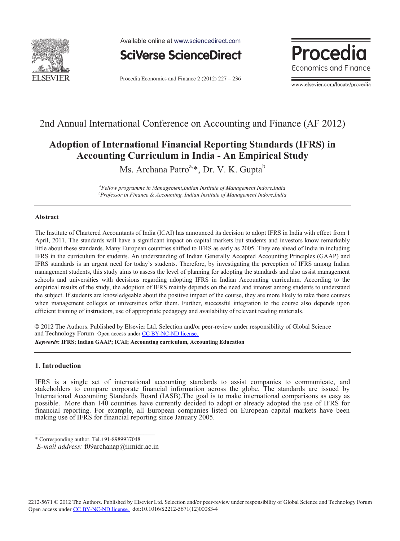

Available online at www.sciencedirect.com



Procedia Economics and Finance 2 (2012) 227 - 236

Procedi Economics and Finance

www.elsevier.com/locate/procedia

# 2nd Annual International Conference on Accounting and Finance (AF 2012)

# **Adoption of International Financial Reporting Standards (IFRS) in Accounting Curriculum in India - An Empirical Study**

Ms. Archana Patro<sup>a,\*</sup>, Dr. V. K. Gupta<sup>b</sup>

*a Fellow programme in Management,Indian Institute of Management Indore,India b Professor in Finance & Accounting, Indian Institute of Management Indore,India* 

## **Abstract**

The Institute of Chartered Accountants of India (ICAI) has announced its decision to adopt IFRS in India with effect from 1 April, 2011. The standards will have a significant impact on capital markets but students and investors know remarkably little about these standards. Many European countries shifted to IFRS as early as 2005. They are ahead of India in including IFRS in the curriculum for students. An understanding of Indian Generally Accepted Accounting Principles (GAAP) and IFRS standards is an urgent need for today's students. Therefore, by investigating the perception of IFRS among Indian management students, this study aims to assess the level of planning for adopting the standards and also assist management schools and universities with decisions regarding adopting IFRS in Indian Accounting curriculum. According to the empirical results of the study, the adoption of IFRS mainly depends on the need and interest among students to understand the subject. If students are knowledgeable about the positive impact of the course, they are more likely to take these courses when management colleges or universities offer them. Further, successful integration to the course also depends upon efficient training of instructors, use of appropriate pedagogy and availability of relevant reading materials.

© 2012 The Authors. Published by Elsevier Ltd. © 2012 The Authors. Published by Elsevier Ltd. Selection and/or peer-review under responsibility of Global Science and Technology Forum Open access under [CC BY-NC-ND license.](http://creativecommons.org/licenses/by-nc-nd/3.0/) *Keywords***: IFRS; Indian GAAP; ICAI; Accounting curriculum, Accounting Education** 

## **1. Introduction**

IFRS is a single set of international accounting standards to assist companies to communicate, and stakeholders to compare corporate financial information across the globe. The standards are issued by International Accounting Standards Board (IASB).The goal is to make international comparisons as easy as possible. More than 140 countries have currently decided to adopt or already adopted the use of IFRS for financial reporting. For example, all European companies listed on European capital markets have been making use of IFRS for financial reporting since January 2005.

<sup>\*</sup> Corresponding author. Tel.+91-8989937048

*E-mail address:* f09archanap@iimidr.ac.in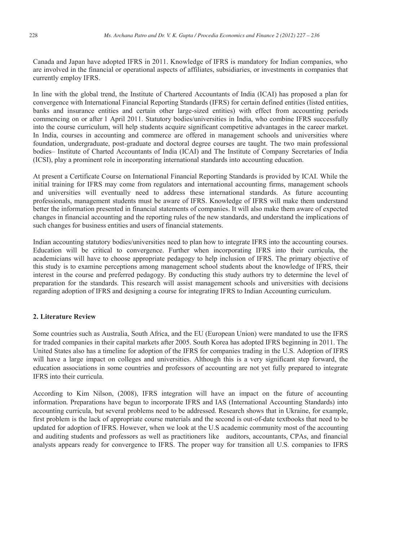Canada and Japan have adopted IFRS in 2011. Knowledge of IFRS is mandatory for Indian companies, who are involved in the financial or operational aspects of affiliates, subsidiaries, or investments in companies that currently employ IFRS.

In line with the global trend, the Institute of Chartered Accountants of India (ICAI) has proposed a plan for convergence with International Financial Reporting Standards (IFRS) for certain defined entities (listed entities, banks and insurance entities and certain other large-sized entities) with effect from accounting periods commencing on or after 1 April 2011. Statutory bodies/universities in India, who combine IFRS successfully into the course curriculum, will help students acquire significant competitive advantages in the career market. In India, courses in accounting and commerce are offered in management schools and universities where foundation, undergraduate, post-graduate and doctoral degree courses are taught. The two main professional bodies– Institute of Charted Accountants of India (ICAI) and The Institute of Company Secretaries of India (ICSI), play a prominent role in incorporating international standards into accounting education.

At present a Certificate Course on International Financial Reporting Standards is provided by ICAI. While the initial training for IFRS may come from regulators and international accounting firms, management schools and universities will eventually need to address these international standards. As future accounting professionals, management students must be aware of IFRS. Knowledge of IFRS will make them understand better the information presented in financial statements of companies. It will also make them aware of expected changes in financial accounting and the reporting rules of the new standards, and understand the implications of such changes for business entities and users of financial statements.

Indian accounting statutory bodies/universities need to plan how to integrate IFRS into the accounting courses. Education will be critical to convergence. Further when incorporating IFRS into their curricula, the academicians will have to choose appropriate pedagogy to help inclusion of IFRS. The primary objective of this study is to examine perceptions among management school students about the knowledge of IFRS, their interest in the course and preferred pedagogy. By conducting this study authors try to determine the level of preparation for the standards. This research will assist management schools and universities with decisions regarding adoption of IFRS and designing a course for integrating IFRS to Indian Accounting curriculum.

# **2. Literature Review**

Some countries such as Australia, South Africa, and the EU (European Union) were mandated to use the IFRS for traded companies in their capital markets after 2005. South Korea has adopted IFRS beginning in 2011. The United States also has a timeline for adoption of the IFRS for companies trading in the U.S. Adoption of IFRS will have a large impact on colleges and universities. Although this is a very significant step forward, the education associations in some countries and professors of accounting are not yet fully prepared to integrate IFRS into their curricula.

According to Kim Nilson, (2008), IFRS integration will have an impact on the future of accounting information. Preparations have begun to incorporate IFRS and IAS (International Accounting Standards) into accounting curricula, but several problems need to be addressed. Research shows that in Ukraine, for example, first problem is the lack of appropriate course materials and the second is out-of-date textbooks that need to be updated for adoption of IFRS. However, when we look at the U.S academic community most of the accounting and auditing students and professors as well as practitioners like auditors, accountants, CPAs, and financial analysts appears ready for convergence to IFRS. The proper way for transition all U.S. companies to IFRS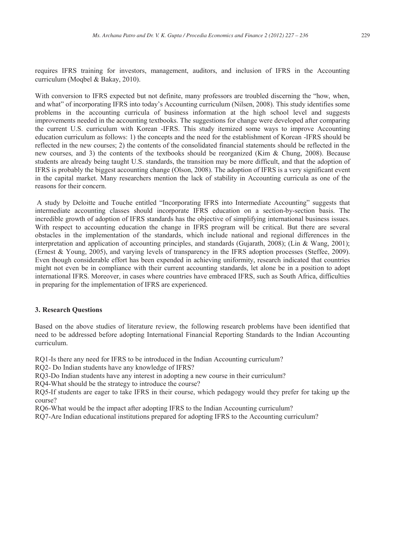requires IFRS training for investors, management, auditors, and inclusion of IFRS in the Accounting curriculum (Moqbel & Bakay, 2010).

With conversion to IFRS expected but not definite, many professors are troubled discerning the "how, when, and what" of incorporating IFRS into today's Accounting curriculum (Nilsen, 2008). This study identifies some problems in the accounting curricula of business information at the high school level and suggests improvements needed in the accounting textbooks. The suggestions for change were developed after comparing the current U.S. curriculum with Korean -IFRS. This study itemized some ways to improve Accounting education curriculum as follows: 1) the concepts and the need for the establishment of Korean -IFRS should be reflected in the new courses; 2) the contents of the consolidated financial statements should be reflected in the new courses, and 3) the contents of the textbooks should be reorganized (Kim & Chung, 2008). Because students are already being taught U.S. standards, the transition may be more difficult, and that the adoption of IFRS is probably the biggest accounting change (Olson, 2008). The adoption of IFRS is a very significant event in the capital market. Many researchers mention the lack of stability in Accounting curricula as one of the reasons for their concern.

A study by Deloitte and Touche entitled "Incorporating IFRS into Intermediate Accounting" suggests that intermediate accounting classes should incorporate IFRS education on a section-by-section basis. The incredible growth of adoption of IFRS standards has the objective of simplifying international business issues. With respect to accounting education the change in IFRS program will be critical. But there are several obstacles in the implementation of the standards, which include national and regional differences in the interpretation and application of accounting principles, and standards (Gujarath, 2008); (Lin & Wang, 2001); (Ernest & Young, 2005), and varying levels of transparency in the IFRS adoption processes (Steffee, 2009). Even though considerable effort has been expended in achieving uniformity, research indicated that countries might not even be in compliance with their current accounting standards, let alone be in a position to adopt international IFRS. Moreover, in cases where countries have embraced IFRS, such as South Africa, difficulties in preparing for the implementation of IFRS are experienced.

## **3. Research Questions**

Based on the above studies of literature review, the following research problems have been identified that need to be addressed before adopting International Financial Reporting Standards to the Indian Accounting curriculum.

RQ1-Is there any need for IFRS to be introduced in the Indian Accounting curriculum?

RQ2- Do Indian students have any knowledge of IFRS?

RQ3-Do Indian students have any interest in adopting a new course in their curriculum?

RQ4-What should be the strategy to introduce the course?

RQ5-If students are eager to take IFRS in their course, which pedagogy would they prefer for taking up the course?

RQ6-What would be the impact after adopting IFRS to the Indian Accounting curriculum?

RQ7-Are Indian educational institutions prepared for adopting IFRS to the Accounting curriculum?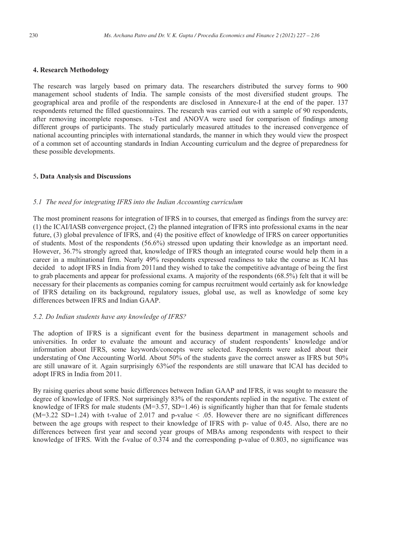## **4. Research Methodology**

The research was largely based on primary data. The researchers distributed the survey forms to 900 management school students of India. The sample consists of the most diversified student groups. The geographical area and profile of the respondents are disclosed in Annexure-I at the end of the paper. 137 respondents returned the filled questionnaires. The research was carried out with a sample of 90 respondents, after removing incomplete responses. t-Test and ANOVA were used for comparison of findings among different groups of participants. The study particularly measured attitudes to the increased convergence of national accounting principles with international standards, the manner in which they would view the prospect of a common set of accounting standards in Indian Accounting curriculum and the degree of preparedness for these possible developments.

#### 5**. Data Analysis and Discussions**

#### *5.1 The need for integrating IFRS into the Indian Accounting curriculum*

The most prominent reasons for integration of IFRS in to courses, that emerged as findings from the survey are: (1) the ICAI/IASB convergence project, (2) the planned integration of IFRS into professional exams in the near future, (3) global prevalence of IFRS, and (4) the positive effect of knowledge of IFRS on career opportunities of students. Most of the respondents (56.6%) stressed upon updating their knowledge as an important need. However, 36.7% strongly agreed that, knowledge of IFRS though an integrated course would help them in a career in a multinational firm. Nearly 49% respondents expressed readiness to take the course as ICAI has decided to adopt IFRS in India from 2011and they wished to take the competitive advantage of being the first to grab placements and appear for professional exams. A majority of the respondents (68.5%) felt that it will be necessary for their placements as companies coming for campus recruitment would certainly ask for knowledge of IFRS detailing on its background, regulatory issues, global use, as well as knowledge of some key differences between IFRS and Indian GAAP.

## *5.2. Do Indian students have any knowledge of IFRS?*

The adoption of IFRS is a significant event for the business department in management schools and universities. In order to evaluate the amount and accuracy of student respondents' knowledge and/or information about IFRS, some keywords/concepts were selected. Respondents were asked about their understating of One Accounting World. About 50% of the students gave the correct answer as IFRS but 50% are still unaware of it. Again surprisingly 63%of the respondents are still unaware that ICAI has decided to adopt IFRS in India from 2011.

By raising queries about some basic differences between Indian GAAP and IFRS, it was sought to measure the degree of knowledge of IFRS. Not surprisingly 83% of the respondents replied in the negative. The extent of knowledge of IFRS for male students  $(M=3.57, SD=1.46)$  is significantly higher than that for female students (M=3.22 SD=1.24) with t-value of 2.017 and p-value < .05. However there are no significant differences between the age groups with respect to their knowledge of IFRS with p- value of 0.45. Also, there are no differences between first year and second year groups of MBAs among respondents with respect to their knowledge of IFRS. With the f-value of 0.374 and the corresponding p-value of 0.803, no significance was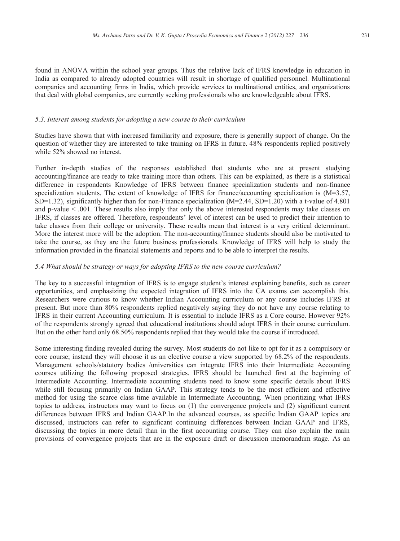found in ANOVA within the school year groups. Thus the relative lack of IFRS knowledge in education in India as compared to already adopted countries will result in shortage of qualified personnel. Multinational companies and accounting firms in India, which provide services to multinational entities, and organizations that deal with global companies, are currently seeking professionals who are knowledgeable about IFRS.

# *5.3. Interest among students for adopting a new course to their curriculum*

Studies have shown that with increased familiarity and exposure, there is generally support of change. On the question of whether they are interested to take training on IFRS in future. 48% respondents replied positively while 52% showed no interest.

Further in-depth studies of the responses established that students who are at present studying accounting/finance are ready to take training more than others. This can be explained, as there is a statistical difference in respondents Knowledge of IFRS between finance specialization students and non-finance specialization students. The extent of knowledge of IFRS for finance/accounting specialization is (M=3.57, SD=1.32), significantly higher than for non-Finance specialization (M=2.44, SD=1.20) with a t-value of 4.801 and p-value  $\leq$  0.01. These results also imply that only the above interested respondents may take classes on IFRS, if classes are offered. Therefore, respondents' level of interest can be used to predict their intention to take classes from their college or university. These results mean that interest is a very critical determinant. More the interest more will be the adoption. The non-accounting/finance students should also be motivated to take the course, as they are the future business professionals. Knowledge of IFRS will help to study the information provided in the financial statements and reports and to be able to interpret the results.

# *5.4 What should be strategy or ways for adopting IFRS to the new course curriculum?*

The key to a successful integration of IFRS is to engage student's interest explaining benefits, such as career opportunities, and emphasizing the expected integration of IFRS into the CA exams can accomplish this. Researchers were curious to know whether Indian Accounting curriculum or any course includes IFRS at present. But more than 80% respondents replied negatively saying they do not have any course relating to IFRS in their current Accounting curriculum. It is essential to include IFRS as a Core course. However 92% of the respondents strongly agreed that educational institutions should adopt IFRS in their course curriculum. But on the other hand only 68.50% respondents replied that they would take the course if introduced.

Some interesting finding revealed during the survey. Most students do not like to opt for it as a compulsory or core course; instead they will choose it as an elective course a view supported by 68.2% of the respondents. Management schools/statutory bodies /universities can integrate IFRS into their Intermediate Accounting courses utilizing the following proposed strategies. IFRS should be launched first at the beginning of Intermediate Accounting. Intermediate accounting students need to know some specific details about IFRS while still focusing primarily on Indian GAAP. This strategy tends to be the most efficient and effective method for using the scarce class time available in Intermediate Accounting. When prioritizing what IFRS topics to address, instructors may want to focus on (1) the convergence projects and (2) significant current differences between IFRS and Indian GAAP.In the advanced courses, as specific Indian GAAP topics are discussed, instructors can refer to significant continuing differences between Indian GAAP and IFRS, discussing the topics in more detail than in the first accounting course. They can also explain the main provisions of convergence projects that are in the exposure draft or discussion memorandum stage. As an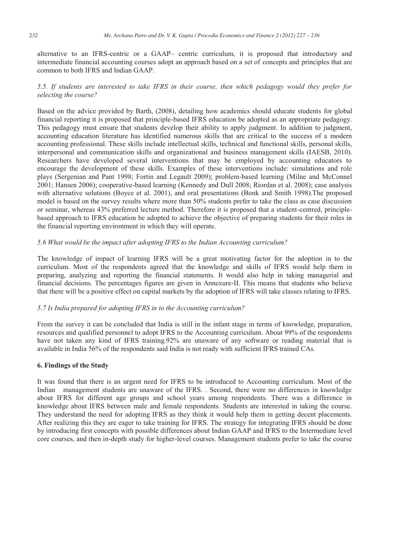alternative to an IFRS-centric or a GAAP– centric curriculum, it is proposed that introductory and intermediate financial accounting courses adopt an approach based on a set of concepts and principles that are common to both IFRS and Indian GAAP.

## *5.5. If students are interested to take IFRS in their course, then which pedagogy would they prefer for selecting the course?*

Based on the advice provided by Barth, (2008), detailing how academics should educate students for global financial reporting it is proposed that principle-based IFRS education be adopted as an appropriate pedagogy. This pedagogy must ensure that students develop their ability to apply judgment. In addition to judgment, accounting education literature has identified numerous skills that are critical to the success of a modern accounting professional. These skills include intellectual skills, technical and functional skills, personal skills, interpersonal and communication skills and organizational and business management skills (IAESB, 2010). Researchers have developed several interventions that may be employed by accounting educators to encourage the development of these skills. Examples of these interventions include: simulations and role plays (Sergenian and Pant 1998; Fortin and Legault 2009); problem-based learning (Milne and McConnel 2001; Hansen 2006); cooperative-based learning (Kennedy and Dull 2008; Riordan et al. 2008); case analysis with alternative solutions (Boyce et al. 2001), and oral presentations (Bonk and Smith 1998).The proposed model is based on the survey results where more than 50% students prefer to take the class as case discussion or seminar, whereas 43% preferred lecture method. Therefore it is proposed that a student-centred, principlebased approach to IFRS education be adopted to achieve the objective of preparing students for their roles in the financial reporting environment in which they will operate.

# *5.6 What would be the impact after adopting IFRS to the Indian Accounting curriculum?*

The knowledge of impact of learning IFRS will be a great motivating factor for the adoption in to the curriculum. Most of the respondents agreed that the knowledge and skills of IFRS would help them in preparing, analyzing and reporting the financial statements. It would also help in taking managerial and financial decisions. The percentages figures are given in Annexure-II. This means that students who believe that there will be a positive effect on capital markets by the adoption of IFRS will take classes relating to IFRS.

#### *5.7 Is India prepared for adopting IFRS in to the Accounting curriculum?*

From the survey it can be concluded that India is still in the infant stage in terms of knowledge, preparation, resources and qualified personnel to adopt IFRS to the Accounting curriculum. About 99% of the respondents have not taken any kind of IFRS training.92% are unaware of any software or reading material that is available in India 56% of the respondents said India is not ready with sufficient IFRS trained CAs.

#### **6. Findings of the Study**

It was found that there is an urgent need for IFRS to be introduced to Accounting curriculum. Most of the Indian management students are unaware of the IFRS. . Second, there were no differences in knowledge about IFRS for different age groups and school years among respondents. There was a difference in knowledge about IFRS between male and female respondents. Students are interested in taking the course. They understand the need for adopting IFRS as they think it would help them in getting decent placements. After realizing this they are eager to take training for IFRS. The strategy for integrating IFRS should be done by introducing first concepts with possible differences about Indian GAAP and IFRS to the Intermediate level core courses, and then in-depth study for higher-level courses. Management students prefer to take the course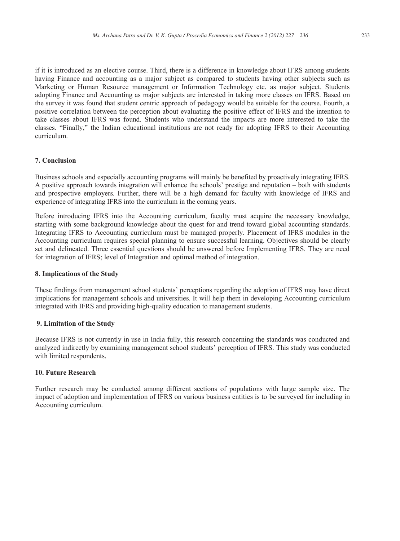if it is introduced as an elective course. Third, there is a difference in knowledge about IFRS among students having Finance and accounting as a major subject as compared to students having other subjects such as Marketing or Human Resource management or Information Technology etc. as major subject. Students adopting Finance and Accounting as major subjects are interested in taking more classes on IFRS. Based on the survey it was found that student centric approach of pedagogy would be suitable for the course. Fourth, a positive correlation between the perception about evaluating the positive effect of IFRS and the intention to take classes about IFRS was found. Students who understand the impacts are more interested to take the classes. "Finally," the Indian educational institutions are not ready for adopting IFRS to their Accounting curriculum.

## **7. Conclusion**

Business schools and especially accounting programs will mainly be benefited by proactively integrating IFRS. A positive approach towards integration will enhance the schools' prestige and reputation – both with students and prospective employers. Further, there will be a high demand for faculty with knowledge of IFRS and experience of integrating IFRS into the curriculum in the coming years.

Before introducing IFRS into the Accounting curriculum, faculty must acquire the necessary knowledge, starting with some background knowledge about the quest for and trend toward global accounting standards. Integrating IFRS to Accounting curriculum must be managed properly. Placement of IFRS modules in the Accounting curriculum requires special planning to ensure successful learning. Objectives should be clearly set and delineated. Three essential questions should be answered before Implementing IFRS. They are need for integration of IFRS; level of Integration and optimal method of integration.

#### **8. Implications of the Study**

These findings from management school students' perceptions regarding the adoption of IFRS may have direct implications for management schools and universities. It will help them in developing Accounting curriculum integrated with IFRS and providing high-quality education to management students.

#### **9. Limitation of the Study**

Because IFRS is not currently in use in India fully, this research concerning the standards was conducted and analyzed indirectly by examining management school students' perception of IFRS. This study was conducted with limited respondents.

#### **10. Future Research**

Further research may be conducted among different sections of populations with large sample size. The impact of adoption and implementation of IFRS on various business entities is to be surveyed for including in Accounting curriculum.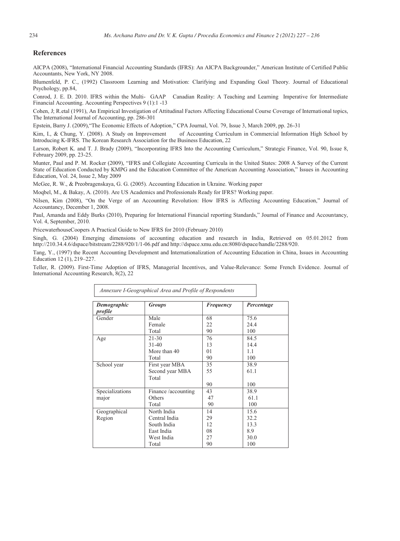#### **References**

AICPA (2008), "International Financial Accounting Standards (IFRS): An AICPA Backgrounder," American Institute of Certified Public Accountants, New York, NY 2008.

Blumenfeld, P. C., (1992) Classroom Learning and Motivation: Clarifying and Expanding Goal Theory. Journal of Educational Psychology, pp.84,

Conrod, J. E. D. 2010. IFRS within the Multi- GAAP Canadian Reality: A Teaching and Learning Imperative for Intermediate Financial Accounting. Accounting Perspectives 9 (1):1 -13

Cohen, J; R.etal (1991), An Empirical Investigation of Attitudinal Factors Affecting Educational Course Coverage of International topics, The International Journal of Accounting, pp. 286-301

Epstein, Barry J. (2009),"The Economic Effects of Adoption," CPA Journal, Vol. 79, Issue 3, March 2009, pp. 26-31

Kim, I., & Chung, Y. (2008). A Study on Improvement of Accounting Curriculum in Commercial Information High School by Introducing K-IFRS. The Korean Research Association for the Business Education, 22

Larson, Robert K. and T. J. Brady (2009), "Incorporating IFRS Into the Accounting Curriculum," Strategic Finance, Vol. 90, Issue 8, February 2009, pp. 23-25.

Munter, Paul and P. M. Rocker (2009), "IFRS and Collegiate Accounting Curricula in the United States: 2008 A Survey of the Current State of Education Conducted by KMPG and the Education Committee of the American Accounting Association," Issues in Accounting Education, Vol. 24, Issue 2, May 2009

McGee, R. W., & Preobragenskaya, G. G. (2005). Accounting Education in Ukraine. Working paper

Moqbel, M., & Bakay, A. (2010). Are US Academics and Professionals Ready for IFRS? Working paper.

Nilsen, Kim (2008), "On the Verge of an Accounting Revolution: How IFRS is Affecting Accounting Education," Journal of Accountancy, December 1, 2008.

Paul, Amanda and Eddy Burks (2010), Preparing for International Financial reporting Standards," Journal of Finance and Accountancy, Vol. 4, September, 2010.

PricewaterhouseCoopers A Practical Guide to New IFRS for 2010 (February 2010)

Singh, G. (2004) Emerging dimensions of accounting education and research in India, Retrieved on 05.01.2012 from http://210.34.4.6/dspace/bitstream/2288/920/1/1-06.pdf and http://dspace.xmu.edu.cn:8080/dspace/handle/2288/920.

Tang, Y., (1997) the Recent Accounting Development and Internationalization of Accounting Education in China, Issues in Accounting Education 12 (1), 219–227.

Teller, R. (2009). First-Time Adoption of IFRS, Managerial Incentives, and Value-Relevance: Some French Evidence. Journal of International Accounting Research, 8(2), 22

| Demographic<br>profile | <b>Groups</b>            | Frequency | Percentage |  |
|------------------------|--------------------------|-----------|------------|--|
| Gender                 | Male                     | 68        | 75.6       |  |
|                        | Female                   | 22        | 24.4       |  |
|                        | Total                    | 90        | 100        |  |
| Age                    | $21 - 30$                | 76        | 84.5       |  |
|                        | $31-40$                  | 13        | 14.4       |  |
|                        | More than 40             | 01        | 1.1        |  |
|                        | Total                    | 90        | 100        |  |
| School year            | First year MBA           | 35        | 38.9       |  |
|                        | Second year MBA<br>Total | 55        | 61.1       |  |
|                        |                          | 90        | 100        |  |
| Specializations        | Finance/accounting       | 43        | 38.9       |  |
| major                  | Others                   | 47        | 61.1       |  |
|                        | Total                    | 90        | 100        |  |
| Geographical           | North India              | 14        | 15.6       |  |
| Region                 | Central India            | 29        | 32.2       |  |
|                        | South India              | 12        | 13.3       |  |
|                        | East India               | 08        | 8.9        |  |
|                        | West India               | 27        | 30.0       |  |
|                        | Total                    | 90        | 100        |  |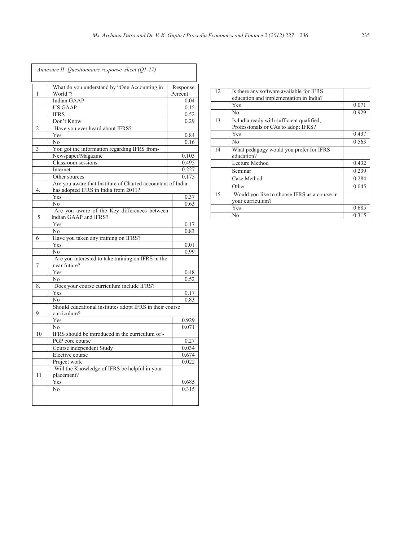|                | Annexure II - Questionnaire response sheet (Q1-17)                      |          |  |  |
|----------------|-------------------------------------------------------------------------|----------|--|--|
|                | What do you understand by "One Accounting in                            | Response |  |  |
| 1              | World"?                                                                 | Percent  |  |  |
|                | <b>Indian GAAP</b>                                                      | 0.04     |  |  |
|                | <b>US GAAP</b>                                                          | 0.15     |  |  |
|                | <b>IFRS</b>                                                             | 0.52     |  |  |
|                | Don't Know                                                              | 0.29     |  |  |
| $\overline{2}$ | Have you ever heard about IFRS?                                         |          |  |  |
|                | Yes                                                                     | 0.84     |  |  |
|                | No                                                                      | 0.16     |  |  |
| 3              | You got the information regarding IFRS from-                            |          |  |  |
|                | Newspaper/Magazine                                                      | 0.103    |  |  |
|                | Classroom sessions                                                      | 0.495    |  |  |
|                | Internet                                                                | 0.227    |  |  |
|                | Other sources                                                           | 0.175    |  |  |
|                | Are you aware that Institute of Charted accountant of India             |          |  |  |
| 4.             | has adopted IFRS in India from 2011?                                    |          |  |  |
|                | Yes                                                                     | 0.37     |  |  |
|                | N <sub>0</sub>                                                          | 0.63     |  |  |
| 5              | Are you aware of the Key differences between<br>Indian GAAP and IFRS?   |          |  |  |
|                | Yes                                                                     | 0.17     |  |  |
|                | N <sub>0</sub>                                                          | 0.83     |  |  |
| 6              | Have you taken any training on IFRS?                                    |          |  |  |
|                | Yes                                                                     | 0.01     |  |  |
|                | No.                                                                     | 0.99     |  |  |
|                | Are you interested to take training on IFRS in the                      |          |  |  |
| 7              | near future?                                                            |          |  |  |
|                | Yes                                                                     | 0.48     |  |  |
|                | N <sub>0</sub>                                                          |          |  |  |
| 8.             | Does your course curriculum include IFRS?                               |          |  |  |
|                | Yes                                                                     | 0.17     |  |  |
|                | No                                                                      | 0.83     |  |  |
| 9              | Should educational institutes adopt IFRS in their course<br>curriculum? |          |  |  |
|                | Yes                                                                     | 0.929    |  |  |
|                | N <sub>0</sub>                                                          | 0.071    |  |  |
| 10             | IFRS should be introduced in the curriculum of -                        |          |  |  |
|                | PGP core course                                                         | 0.27     |  |  |
|                | Course independent Study                                                | 0.034    |  |  |
|                | Elective course                                                         |          |  |  |
|                | Project work                                                            |          |  |  |
|                | Will the Knowledge of IFRS be helpful in your                           | 0.022    |  |  |
| 11             | placement?                                                              |          |  |  |
|                | Yes                                                                     | 0.685    |  |  |
|                | No                                                                      | 0.315    |  |  |
|                |                                                                         |          |  |  |

| 12 | Is there any software available for IFRS<br>education and implementation in India? |       |
|----|------------------------------------------------------------------------------------|-------|
|    | Yes                                                                                | 0.071 |
|    | N <sub>0</sub>                                                                     | 0.929 |
| 13 | Is India ready with sufficient qualified,<br>Professionals or CAs to adopt IFRS?   |       |
|    | Yes                                                                                | 0.437 |
|    | No                                                                                 | 0.563 |
| 14 | What pedagogy would you prefer for IFRS<br>education?                              |       |
|    | Lecture Method                                                                     | 0.432 |
|    | Seminar                                                                            | 0.239 |
|    | Case Method                                                                        | 0.284 |
|    | Other                                                                              | 0.045 |
| 15 | Would you like to choose IFRS as a course in<br>your curriculum?                   |       |
|    | Yes                                                                                | 0.685 |
|    | No                                                                                 | 0.315 |